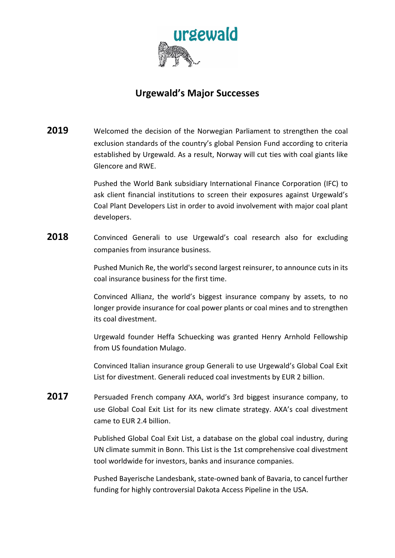

## **Urgewald's Major Successes**

**2019** Welcomed the decision of the Norwegian Parliament to strengthen the coal exclusion standards of the country's global Pension Fund according to criteria established by Urgewald. As a result, Norway will cut ties with coal giants like Glencore and RWE.

> Pushed the World Bank subsidiary International Finance Corporation (IFC) to ask client financial institutions to screen their exposures against Urgewald's Coal Plant Developers List in order to avoid involvement with major coal plant developers.

2018 Convinced Generali to use Urgewald's coal research also for excluding companies from insurance business.

> Pushed Munich Re, the world's second largest reinsurer, to announce cuts in its coal insurance business for the first time.

> Convinced Allianz, the world's biggest insurance company by assets, to no longer provide insurance for coal power plants or coal mines and to strengthen its coal divestment.

> Urgewald founder Heffa Schuecking was granted Henry Arnhold Fellowship from US foundation Mulago.

> Convinced Italian insurance group Generali to use Urgewald's Global Coal Exit List for divestment. Generali reduced coal investments by EUR 2 billion.

**2017** Persuaded French company AXA, world's 3rd biggest insurance company, to use Global Coal Exit List for its new climate strategy. AXA's coal divestment came to EUR 2.4 billion.

> Published Global Coal Exit List, a database on the global coal industry, during UN climate summit in Bonn. This List is the 1st comprehensive coal divestment tool worldwide for investors, banks and insurance companies.

> Pushed Bayerische Landesbank, state-owned bank of Bavaria, to cancel further funding for highly controversial Dakota Access Pipeline in the USA.